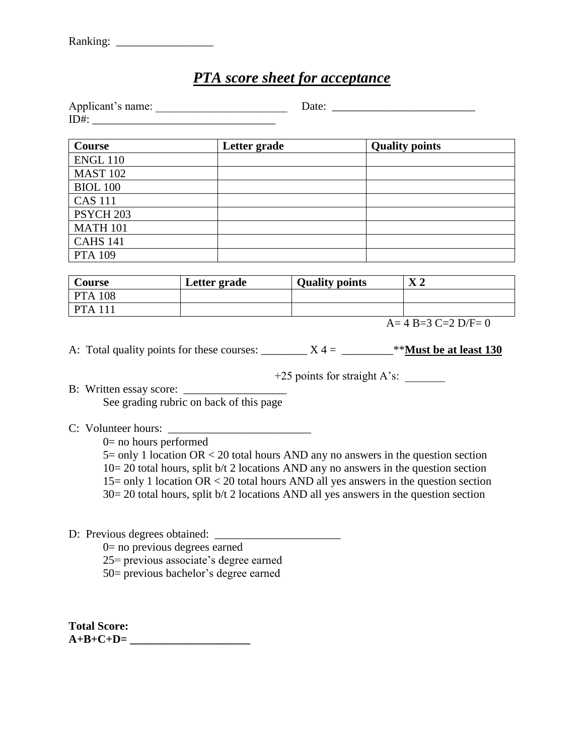## *PTA score sheet for acceptance*

| Applicant's name: |  |
|-------------------|--|
| ID#               |  |

| Course               | Letter grade | <b>Quality points</b> |
|----------------------|--------------|-----------------------|
| <b>ENGL 110</b>      |              |                       |
| <b>MAST 102</b>      |              |                       |
| <b>BIOL 100</b>      |              |                       |
| <b>CAS 111</b>       |              |                       |
| PSYCH <sub>203</sub> |              |                       |
| <b>MATH 101</b>      |              |                       |
| <b>CAHS 141</b>      |              |                       |
| <b>PTA 109</b>       |              |                       |

| Course    | Letter grade | <b>Quality points</b> | $\mathbf{v}$ 1<br>$\mathbf{\Lambda}$ $\mathbf{\Lambda}$ |
|-----------|--------------|-----------------------|---------------------------------------------------------|
| $PTA$ 108 |              |                       |                                                         |
| $PTA$ 111 |              |                       |                                                         |

 $A= 4 B=3 C=2 D/F=0$ 

A: Total quality points for these courses:  $X = 4 = 4$   $X = 4$ 

+25 points for straight A's: \_\_\_\_\_\_\_

B: Written essay score: \_\_\_\_\_\_\_\_\_\_\_\_\_\_\_\_\_\_

See grading rubric on back of this page

C: Volunteer hours: \_\_\_\_\_\_\_\_\_\_\_\_\_\_\_\_\_\_\_\_\_\_\_\_\_

0= no hours performed

5= only 1 location OR < 20 total hours AND any no answers in the question section  $10= 20$  total hours, split b/t 2 locations AND any no answers in the question section 15= only 1 location OR < 20 total hours AND all yes answers in the question section 30= 20 total hours, split b/t 2 locations AND all yes answers in the question section

## D: Previous degrees obtained: \_\_\_\_\_\_\_\_\_\_\_\_\_\_\_\_\_\_\_\_\_\_

 $0=$  no previous degrees earned

25= previous associate's degree earned

50= previous bachelor's degree earned

**Total Score: A+B+C+D= \_\_\_\_\_\_\_\_\_\_\_\_\_\_\_\_\_\_\_\_\_**